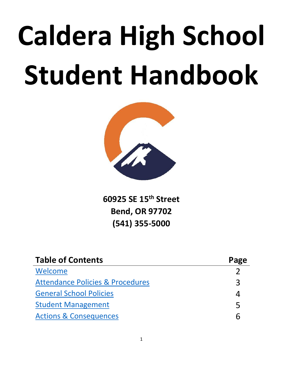# **Caldera High School Student Handbook**



**60925 SE 15th Street Bend, OR 97702 (541) 355-5000**

| <b>Table of Contents</b>                    | Page |
|---------------------------------------------|------|
| Welcome                                     |      |
| <b>Attendance Policies &amp; Procedures</b> | コ    |
| <b>General School Policies</b>              |      |
| <b>Student Management</b>                   | 5    |
| <b>Actions &amp; Consequences</b>           |      |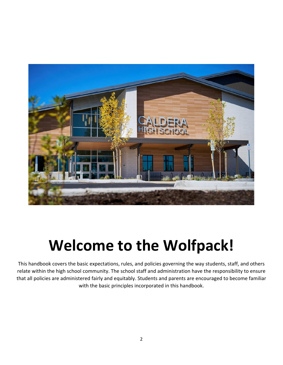

# **Welcome to the Wolfpack!**

<span id="page-1-0"></span>This handbook covers the basic expectations, rules, and policies governing the way students, staff, and others relate within the high school community. The school staff and administration have the responsibility to ensure that all policies are administered fairly and equitably. Students and parents are encouraged to become familiar with the basic principles incorporated in this handbook.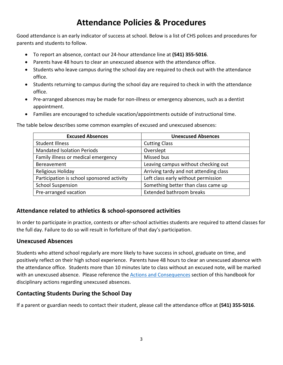# **Attendance Policies & Procedures**

<span id="page-2-0"></span>Good attendance is an early indicator of success at school. Below is a list of CHS polices and procedures for parents and students to follow.

- To report an absence, contact our 24-hour attendance line at **(541) 355-5016**.
- Parents have 48 hours to clear an unexcused absence with the attendance office.
- Students who leave campus during the school day are required to check out with the attendance office.
- Students returning to campus during the school day are required to check in with the attendance office.
- Pre-arranged absences may be made for non-illness or emergency absences, such as a dentist appointment.
- Families are encouraged to schedule vacation/appointments outside of instructional time.

The table below describes some common examples of excused and unexcused absences:

| <b>Excused Absences</b>                    | <b>Unexcused Absences</b>              |
|--------------------------------------------|----------------------------------------|
| <b>Student Illness</b>                     | <b>Cutting Class</b>                   |
| <b>Mandated Isolation Periods</b>          | Overslept                              |
| Family illness or medical emergency        | Missed bus                             |
| Bereavement                                | Leaving campus without checking out    |
| Religious Holiday                          | Arriving tardy and not attending class |
| Participation is school sponsored activity | Left class early without permission    |
| <b>School Suspension</b>                   | Something better than class came up    |
| Pre-arranged vacation                      | <b>Extended bathroom breaks</b>        |

#### **Attendance related to athletics & school-sponsored activities**

In order to participate in practice, contests or after-school activities students are required to attend classes for the full day. Failure to do so will result in forfeiture of that day's participation.

#### **Unexcused Absences**

Students who attend school regularly are more likely to have success in school, graduate on time, and positively reflect on their high school experience. Parents have 48 hours to clear an unexcused absence with the attendance office. Students more than 10 minutes late to class without an excused note, will be marked with an unexcused absence. Please reference the [Actions and Consequences](#page-5-0) section of this handbook for disciplinary actions regarding unexcused absences.

#### **Contacting Students During the School Day**

If a parent or guardian needs to contact their student, please call the attendance office at **(541) 355-5016**.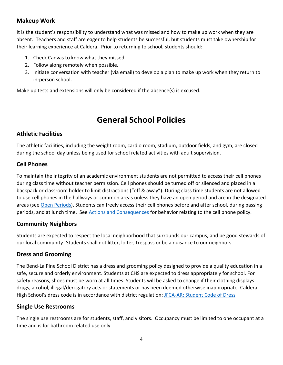#### **Makeup Work**

It is the student's responsibility to understand what was missed and how to make up work when they are absent. Teachers and staff are eager to help students be successful, but students must take ownership for their learning experience at Caldera. Prior to returning to school, students should:

- 1. Check Canvas to know what they missed.
- 2. Follow along remotely when possible.
- 3. Initiate conversation with teacher (via email) to develop a plan to make up work when they return to in-person school.

Make up tests and extensions will only be considered if the absence(s) is excused.

# **General School Policies**

#### <span id="page-3-0"></span>**Athletic Facilities**

The athletic facilities, including the weight room, cardio room, stadium, outdoor fields, and gym, are closed during the school day unless being used for school related activities with adult supervision.

#### **Cell Phones**

To maintain the integrity of an academic environment students are not permitted to access their cell phones during class time without teacher permission. Cell phones should be turned off or silenced and placed in a backpack or classroom holder to limit distractions ("off & away"). During class time students are not allowed to use cell phones in the hallways or common areas unless they have an open period and are in the designated areas (see [Open Periods\)](#page-4-1). Students can freely access their cell phones before and after school, during passing periods, and at lunch time. See [Actions and Consequences](#page-5-0) for behavior relating to the cell phone policy.

#### **Community Neighbors**

Students are expected to respect the local neighborhood that surrounds our campus, and be good stewards of our local community! Students shall not litter, loiter, trespass or be a nuisance to our neighbors.

#### **Dress and Grooming**

The Bend-La Pine School District has a dress and grooming policy designed to provide a quality education in a safe, secure and orderly environment. Students at CHS are expected to dress appropriately for school. For safety reasons, shoes must be worn at all times. Students will be asked to change if their clothing displays drugs, alcohol, illegal/derogatory acts or statements or has been deemed otherwise inappropriate. Caldera High School's dress code is in accordance with district regulation: [JFCA-AR: Student Code of Dress](https://www.bend.k12.or.us/application/files/2815/3756/6235/Dress_Code.pdf)

#### **Single Use Restrooms**

The single use restrooms are for students, staff, and visitors. Occupancy must be limited to one occupant at a time and is for bathroom related use only.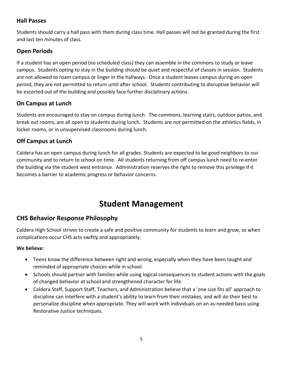#### **Hall Passes**

Students should carry a hall pass with them during class time. Hall passes will not be granted during the first and last ten minutes of class.

#### <span id="page-4-1"></span>**Open Periods**

If a student has an open period (no scheduled class) they can assemble in the commons to study or leave campus. Students opting to stay in the building should be quiet and respectful of classes in session. Students are not allowed to roam campus or linger in the hallways. Once a student leaves campus during an open period, they are not permitted to return until after school. Students contributing to disruptive behavior will be escorted out of the building and possibly face further disciplinary actions.

#### **On Campus at Lunch**

Students are encouraged to stay on campus during lunch. The commons, learning stairs, outdoor patios, and break out rooms, are all open to students during lunch. Students are not permitted on the athletics fields, in locker rooms, or in unsupervised classrooms during lunch.

#### **Off Campus at Lunch**

Caldera has an open campus during lunch for all grades. Students are expected to be good neighbors to our community and to return to school on time. All students returning from off campus lunch need to re-enter the building via the student west entrance. Administration reserves the right to remove this privilege if it becomes a barrier to academic progress or behavior concerns.

# **Student Management**

#### <span id="page-4-0"></span>**CHS Behavior Response Philosophy**

Caldera High School strives to create a safe and positive community for students to learn and grow, so when complications occur CHS acts swiftly and appropriately.

#### **We believe:**

- Teens know the difference between right and wrong, especially when they have been taught and reminded of appropriate choices while in school.
- Schools should partner with families while using logical consequences to student actions with the goals of changed behavior at school and strengthened character for life.
- Caldera Staff, Support Staff, Teachers, and Administration believe that a 'one size fits all' approach to discipline can interfere with a student's ability to learn from their mistakes, and will do their best to personalize discipline when appropriate. They will work with individuals on an as-needed basis using Restorative Justice techniques.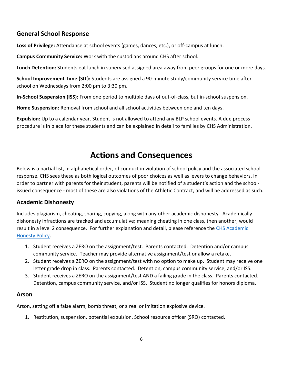#### **General School Response**

**Loss of Privilege:** Attendance at school events (games, dances, etc.), or off-campus at lunch.

**Campus Community Service:** Work with the custodians around CHS after school.

**Lunch Detention:** Students eat lunch in supervised assigned area away from peer groups for one or more days.

**School Improvement Time (SIT):** Students are assigned a 90-minute study/community service time after school on Wednesdays from 2:00 pm to 3:30 pm.

**In-School Suspension (ISS):** From one period to multiple days of out-of-class, but in-school suspension.

**Home Suspension:** Removal from school and all school activities between one and ten days.

**Expulsion:** Up to a calendar year. Student is not allowed to attend any BLP school events. A due process procedure is in place for these students and can be explained in detail to families by CHS Administration.

### **Actions and Consequences**

<span id="page-5-0"></span>Below is a partial list, in alphabetical order, of conduct in violation of school policy and the associated school response. CHS sees these as both logical outcomes of poor choices as well as levers to change behaviors. In order to partner with parents for their student, parents will be notified of a student's action and the schoolissued consequence - most of these are also violations of the Athletic Contract, and will be addressed as such.

#### **Academic Dishonesty**

Includes plagiarism, cheating, sharing, copying, along with any other academic dishonesty. Academically dishonesty infractions are tracked and accumulative; meaning cheating in one class, then another, would result in a level 2 consequence. For further explanation and detail, please reference the [CHS Academic](https://docs.google.com/document/d/1Nj2HkNavvjuSuIyHf3-dxW4Bo0GrWvpeig6VEIM36rU/edit?usp=sharing)  [Honesty Policy.](https://docs.google.com/document/d/1Nj2HkNavvjuSuIyHf3-dxW4Bo0GrWvpeig6VEIM36rU/edit?usp=sharing)

- 1. Student receives a ZERO on the assignment/test. Parents contacted. Detention and/or campus community service. Teacher may provide alternative assignment/test or allow a retake.
- 2. Student receives a ZERO on the assignment/test with no option to make up. Student may receive one letter grade drop in class. Parents contacted. Detention, campus community service, and/or ISS.
- 3. Student receives a ZERO on the assignment/test AND a failing grade in the class. Parents contacted. Detention, campus community service, and/or ISS. Student no longer qualifies for honors diploma.

#### **Arson**

Arson, setting off a false alarm, bomb threat, or a real or imitation explosive device.

1. Restitution, suspension, potential expulsion. School resource officer (SRO) contacted.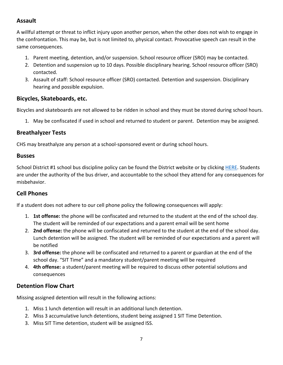#### **Assault**

A willful attempt or threat to inflict injury upon another person, when the other does not wish to engage in the confrontation. This may be, but is not limited to, physical contact. Provocative speech can result in the same consequences.

- 1. Parent meeting, detention, and/or suspension. School resource officer (SRO) may be contacted.
- 2. Detention and suspension up to 10 days. Possible disciplinary hearing. School resource officer (SRO) contacted.
- 3. Assault of staff: School resource officer (SRO) contacted. Detention and suspension. Disciplinary hearing and possible expulsion.

#### **Bicycles, Skateboards, etc.**

Bicycles and skateboards are not allowed to be ridden in school and they must be stored during school hours.

1. May be confiscated if used in school and returned to student or parent. Detention may be assigned.

#### **Breathalyzer Tests**

CHS may breathalyze any person at a school-sponsored event or during school hours.

#### **Busses**

School District #1 school bus discipline policy can be found the District website or by clicking [HERE.](https://www.bend.k12.or.us/application/files/9914/5279/2787/EEACC-AP_-_final_1.18.13.pdf) Students are under the authority of the bus driver, and accountable to the school they attend for any consequences for misbehavior.

#### **Cell Phones**

If a student does not adhere to our cell phone policy the following consequences will apply:

- 1. **1st offense:** the phone will be confiscated and returned to the student at the end of the school day. The student will be reminded of our expectations and a parent email will be sent home
- 2. **2nd offense:** the phone will be confiscated and returned to the student at the end of the school day. Lunch detention will be assigned. The student will be reminded of our expectations and a parent will be notified
- 3. **3rd offense:** the phone will be confiscated and returned to a parent or guardian at the end of the school day. "SIT Time" and a mandatory student/parent meeting will be required
- 4. **4th offense:** a student/parent meeting will be required to discuss other potential solutions and consequences

#### **Detention Flow Chart**

Missing assigned detention will result in the following actions:

- 1. Miss 1 lunch detention will result in an additional lunch detention.
- 2. Miss 3 accumulative lunch detentions, student being assigned 1 SIT Time Detention.
- 3. Miss SIT Time detention, student will be assigned ISS.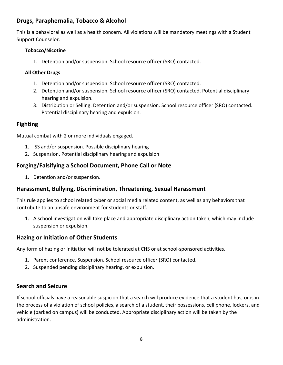#### **Drugs, Paraphernalia, Tobacco & Alcohol**

This is a behavioral as well as a health concern. All violations will be mandatory meetings with a Student Support Counselor.

#### **Tobacco/Nicotine**

1. Detention and/or suspension. School resource officer (SRO) contacted.

#### **All Other Drugs**

- 1. Detention and/or suspension. School resource officer (SRO) contacted.
- 2. Detention and/or suspension. School resource officer (SRO) contacted. Potential disciplinary hearing and expulsion.
- 3. Distribution or Selling: Detention and/or suspension. School resource officer (SRO) contacted. Potential disciplinary hearing and expulsion.

#### **Fighting**

Mutual combat with 2 or more individuals engaged.

- 1. ISS and/or suspension. Possible disciplinary hearing
- 2. Suspension. Potential disciplinary hearing and expulsion

#### **Forging/Falsifying a School Document, Phone Call or Note**

1. Detention and/or suspension.

#### **Harassment, Bullying, Discrimination, Threatening, Sexual Harassment**

This rule applies to school related cyber or social media related content, as well as any behaviors that contribute to an unsafe environment for students or staff.

1. A school investigation will take place and appropriate disciplinary action taken, which may include suspension or expulsion.

#### **Hazing or Initiation of Other Students**

Any form of hazing or initiation will not be tolerated at CHS or at school-sponsored activities.

- 1. Parent conference. Suspension. School resource officer (SRO) contacted.
- 2. Suspended pending disciplinary hearing, or expulsion.

#### **Search and Seizure**

If school officials have a reasonable suspicion that a search will produce evidence that a student has, or is in the process of a violation of school policies, a search of a student, their possessions, cell phone, lockers, and vehicle (parked on campus) will be conducted. Appropriate disciplinary action will be taken by the administration.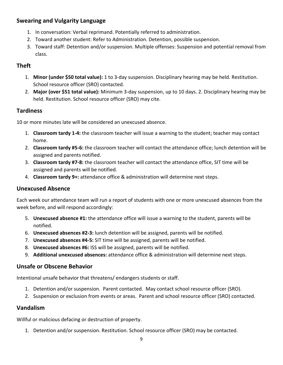#### **Swearing and Vulgarity Language**

- 1. In conversation: Verbal reprimand. Potentially referred to administration.
- 2. Toward another student: Refer to Administration. Detention, possible suspension.
- 3. Toward staff: Detention and/or suspension. Multiple offenses: Suspension and potential removal from class.

#### **Theft**

- 1. **Minor (under \$50 total value):** 1 to 3-day suspension. Disciplinary hearing may be held. Restitution. School resource officer (SRO) contacted.
- 2. **Major (over \$51 total value):** Minimum 3-day suspension, up to 10 days. 2. Disciplinary hearing may be held. Restitution. School resource officer (SRO) may cite.

#### **Tardiness**

10 or more minutes late will be considered an unexcused absence.

- 1. **Classroom tardy 1-4:** the classroom teacher will issue a warning to the student; teacher may contact home.
- 2. **Classroom tardy #5-6:** the classroom teacher will contact the attendance office; lunch detention will be assigned and parents notified.
- 3. **Classroom tardy #7-8:** the classroom teacher will contact the attendance office, SIT time will be assigned and parents will be notified.
- 4. **Classroom tardy 9+:** attendance office & administration will determine next steps.

#### **Unexcused Absence**

Each week our attendance team will run a report of students with one or more unexcused absences from the week before, and will respond accordingly:

- 5. **Unexcused absence #1:** the attendance office will issue a warning to the student, parents will be notified.
- 6. **Unexcused absences #2-3:** lunch detention will be assigned, parents will be notified.
- 7. **Unexcused absences #4-5:** SIT time will be assigned, parents will be notified.
- 8. **Unexcused absences #6:** ISS will be assigned, parents will be notified.
- 9. **Additional unexcused absences:** attendance office & administration will determine next steps.

#### **Unsafe or Obscene Behavior**

Intentional unsafe behavior that threatens/ endangers students or staff.

- 1. Detention and/or suspension. Parent contacted. May contact school resource officer (SRO).
- 2. Suspension or exclusion from events or areas. Parent and school resource officer (SRO) contacted.

#### **Vandalism**

Willful or malicious defacing or destruction of property.

1. Detention and/or suspension. Restitution. School resource officer (SRO) may be contacted.